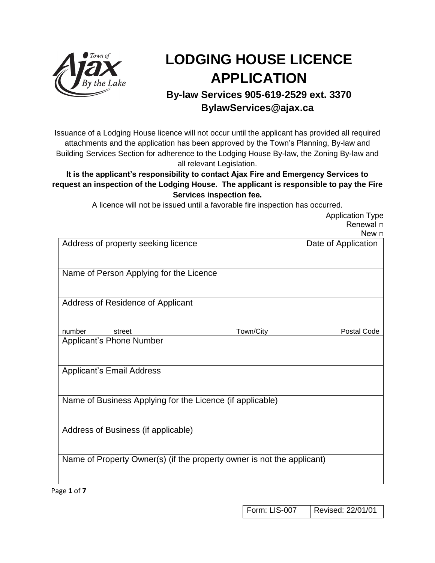

# **LODGING HOUSE LICENCE APPLICATION**

# **By-law Services 905-619-2529 ext. 3370 BylawServices@ajax.ca**

Issuance of a Lodging House licence will not occur until the applicant has provided all required attachments and the application has been approved by the Town's Planning, By-law and Building Services Section for adherence to the Lodging House By-law, the Zoning By-law and all relevant Legislation.

#### **It is the applicant's responsibility to contact Ajax Fire and Emergency Services to request an inspection of the Lodging House. The applicant is responsible to pay the Fire Services inspection fee.**

A licence will not be issued until a favorable fire inspection has occurred.

|                                                                        |           | <b>Application Type</b><br>Renewal $\square$<br>New $\square$ |
|------------------------------------------------------------------------|-----------|---------------------------------------------------------------|
| Address of property seeking licence                                    |           | Date of Application                                           |
| Name of Person Applying for the Licence                                |           |                                                               |
| Address of Residence of Applicant                                      |           |                                                               |
| number<br>street<br><b>Applicant's Phone Number</b>                    | Town/City | Postal Code                                                   |
| <b>Applicant's Email Address</b>                                       |           |                                                               |
| Name of Business Applying for the Licence (if applicable)              |           |                                                               |
| Address of Business (if applicable)                                    |           |                                                               |
| Name of Property Owner(s) (if the property owner is not the applicant) |           |                                                               |

Page **1** of **7**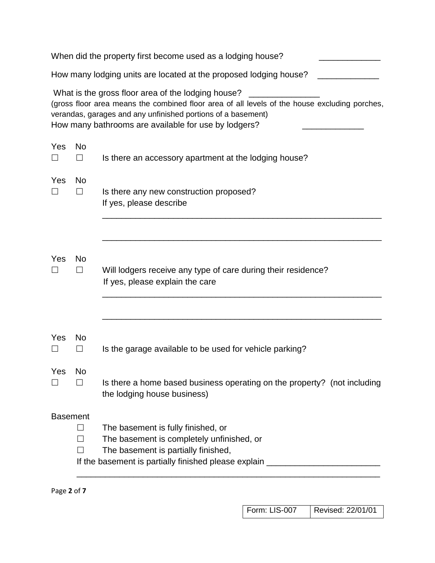|                 |                     | When did the property first become used as a lodging house?                                                                                                                                                                                                                 |
|-----------------|---------------------|-----------------------------------------------------------------------------------------------------------------------------------------------------------------------------------------------------------------------------------------------------------------------------|
|                 |                     | How many lodging units are located at the proposed lodging house?                                                                                                                                                                                                           |
|                 |                     | What is the gross floor area of the lodging house?<br>(gross floor area means the combined floor area of all levels of the house excluding porches,<br>verandas, garages and any unfinished portions of a basement)<br>How many bathrooms are available for use by lodgers? |
| Yes             | <b>No</b><br>$\Box$ | Is there an accessory apartment at the lodging house?                                                                                                                                                                                                                       |
| Yes<br>$\Box$   | <b>No</b><br>$\Box$ | Is there any new construction proposed?<br>If yes, please describe                                                                                                                                                                                                          |
| Yes<br>$\Box$   | No<br>$\Box$        | Will lodgers receive any type of care during their residence?<br>If yes, please explain the care                                                                                                                                                                            |
| Yes             | <b>No</b><br>$\Box$ | Is the garage available to be used for vehicle parking?                                                                                                                                                                                                                     |
| Yes             | No                  | Is there a home based business operating on the property? (not including<br>the lodging house business)                                                                                                                                                                     |
| <b>Basement</b> |                     | The basement is fully finished, or<br>The basement is completely unfinished, or<br>The basement is partially finished,<br>If the basement is partially finished please explain ___________________________                                                                  |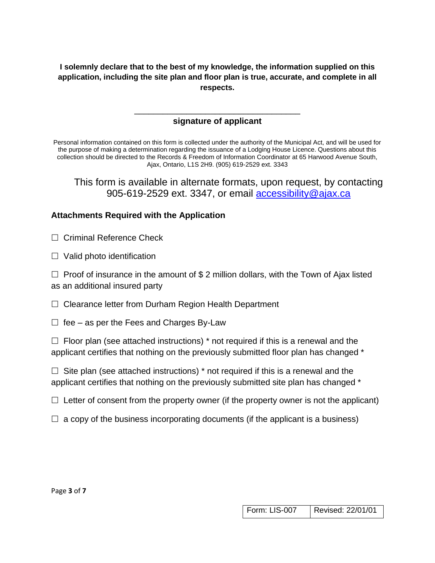**I solemnly declare that to the best of my knowledge, the information supplied on this application, including the site plan and floor plan is true, accurate, and complete in all respects.**

## \_\_\_\_\_\_\_\_\_\_\_\_\_\_\_\_\_\_\_\_\_\_\_\_\_\_\_\_\_\_\_\_\_\_\_ **signature of applicant**

Personal information contained on this form is collected under the authority of the Municipal Act, and will be used for the purpose of making a determination regarding the issuance of a Lodging House Licence. Questions about this collection should be directed to the Records & Freedom of Information Coordinator at 65 Harwood Avenue South, Ajax, Ontario, L1S 2H9. (905) 619-2529 ext. 3343

This form is available in alternate formats, upon request, by contacting 905-619-2529 ext. 3347, or email [accessibility@ajax.ca](mailto:accessibility@ajax.ca)

#### **Attachments Required with the Application**

 $\Box$  Criminal Reference Check

 $\Box$  Valid photo identification

 $\Box$  Proof of insurance in the amount of \$2 million dollars, with the Town of Ajax listed as an additional insured party

 $\Box$  Clearance letter from Durham Region Health Department

 $\Box$  fee – as per the Fees and Charges By-Law

 $\Box$  Floor plan (see attached instructions) \* not required if this is a renewal and the applicant certifies that nothing on the previously submitted floor plan has changed \*

 $\Box$  Site plan (see attached instructions) \* not required if this is a renewal and the applicant certifies that nothing on the previously submitted site plan has changed \*

 $\Box$  Letter of consent from the property owner (if the property owner is not the applicant)

 $\Box$  a copy of the business incorporating documents (if the applicant is a business)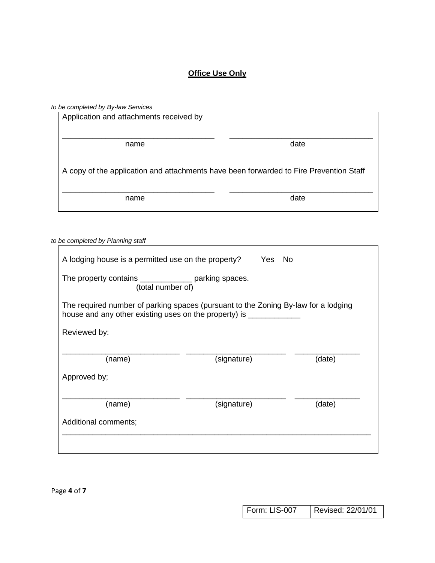# **Office Use Only**

| to be completed by By-law Services                                                     |      |
|----------------------------------------------------------------------------------------|------|
| Application and attachments received by                                                |      |
|                                                                                        |      |
|                                                                                        |      |
| name                                                                                   | date |
|                                                                                        |      |
|                                                                                        |      |
| A copy of the application and attachments have been forwarded to Fire Prevention Staff |      |
|                                                                                        |      |
|                                                                                        |      |
| name                                                                                   | date |
|                                                                                        |      |
|                                                                                        |      |

| to be completed by Planning staff                                                                                                                         |             |        |
|-----------------------------------------------------------------------------------------------------------------------------------------------------------|-------------|--------|
| A lodging house is a permitted use on the property? Yes No                                                                                                |             |        |
| The property contains ________________ parking spaces.<br>(total number of)                                                                               |             |        |
| The required number of parking spaces (pursuant to the Zoning By-law for a lodging<br>house and any other existing uses on the property) is _____________ |             |        |
| Reviewed by:                                                                                                                                              |             |        |
| (name)                                                                                                                                                    | (signature) | (date) |
| Approved by;                                                                                                                                              |             |        |
| (name)                                                                                                                                                    | (signature) | (date) |
| Additional comments;                                                                                                                                      |             |        |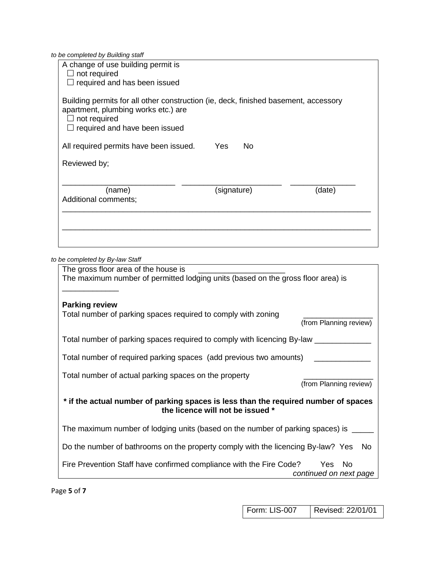*to be completed by Building staff*

| A change of use building permit is<br>not required<br>$\Box$ required and has been issued                                                                                          |                  |        |
|------------------------------------------------------------------------------------------------------------------------------------------------------------------------------------|------------------|--------|
| Building permits for all other construction (ie, deck, finished basement, accessory<br>apartment, plumbing works etc.) are<br>not required<br>$\Box$ required and have been issued |                  |        |
| All required permits have been issued.                                                                                                                                             | <b>No</b><br>Yes |        |
| Reviewed by;                                                                                                                                                                       |                  |        |
| (name)<br>Additional comments;                                                                                                                                                     | (signature)      | (date) |
|                                                                                                                                                                                    |                  |        |
|                                                                                                                                                                                    |                  |        |

*to be completed by By-law Staff*

| The gross floor area of the house is                                                |                        |
|-------------------------------------------------------------------------------------|------------------------|
| The maximum number of permitted lodging units (based on the gross floor area) is    |                        |
|                                                                                     |                        |
| <b>Parking review</b>                                                               |                        |
| Total number of parking spaces required to comply with zoning                       |                        |
|                                                                                     | (from Planning review) |
| Total number of parking spaces required to comply with licencing By-law ___         |                        |
| Total number of required parking spaces (add previous two amounts)                  |                        |
| Total number of actual parking spaces on the property                               |                        |
|                                                                                     | (from Planning review) |
| * if the actual number of parking spaces is less than the required number of spaces |                        |
| the licence will not be issued *                                                    |                        |
| The maximum number of lodging units (based on the number of parking spaces) is      |                        |
| Do the number of bathrooms on the property comply with the licencing By-law? Yes    | No.                    |
| Fire Prevention Staff have confirmed compliance with the Fire Code?                 | Yes.<br>- No           |
|                                                                                     | continued on next page |

Page **5** of **7**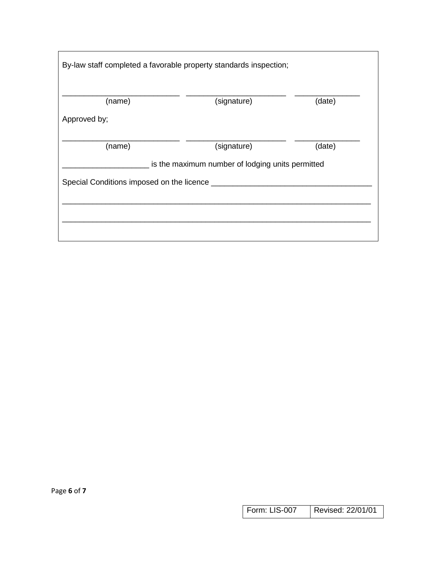|                                                | By-law staff completed a favorable property standards inspection; |        |
|------------------------------------------------|-------------------------------------------------------------------|--------|
| (name)                                         | (signature)                                                       | (date) |
| Approved by;                                   |                                                                   |        |
| (name)                                         | (signature)                                                       | (date) |
|                                                | is the maximum number of lodging units permitted                  |        |
| Special Conditions imposed on the licence ____ |                                                                   |        |
|                                                |                                                                   |        |
|                                                |                                                                   |        |
|                                                |                                                                   |        |